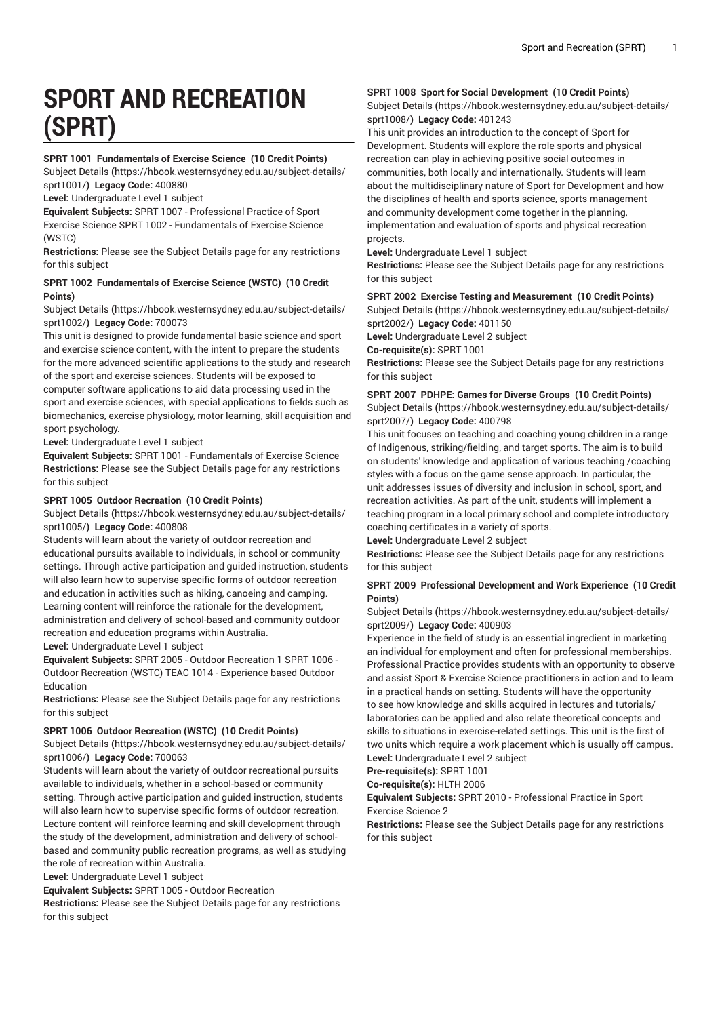# **SPORT AND RECREATION (SPRT)**

# **SPRT 1001 Fundamentals of Exercise Science (10 Credit Points)**

[Subject Details](https://hbook.westernsydney.edu.au/subject-details/sprt1001/) **(**[https://hbook.westernsydney.edu.au/subject-details/](https://hbook.westernsydney.edu.au/subject-details/sprt1001/) [sprt1001/](https://hbook.westernsydney.edu.au/subject-details/sprt1001/)**) Legacy Code:** 400880

**Level:** Undergraduate Level 1 subject

**Equivalent Subjects:** SPRT 1007 - Professional Practice of Sport Exercise Science SPRT 1002 - Fundamentals of Exercise Science (WSTC)

**Restrictions:** Please see the Subject Details page for any restrictions for this subject

# **SPRT 1002 Fundamentals of Exercise Science (WSTC) (10 Credit Points)**

[Subject Details](https://hbook.westernsydney.edu.au/subject-details/sprt1002/) **(**[https://hbook.westernsydney.edu.au/subject-details/](https://hbook.westernsydney.edu.au/subject-details/sprt1002/) [sprt1002/](https://hbook.westernsydney.edu.au/subject-details/sprt1002/)**) Legacy Code:** 700073

This unit is designed to provide fundamental basic science and sport and exercise science content, with the intent to prepare the students for the more advanced scientific applications to the study and research of the sport and exercise sciences. Students will be exposed to computer software applications to aid data processing used in the sport and exercise sciences, with special applications to fields such as biomechanics, exercise physiology, motor learning, skill acquisition and sport psychology.

**Level:** Undergraduate Level 1 subject

**Equivalent Subjects:** SPRT 1001 - Fundamentals of Exercise Science **Restrictions:** Please see the Subject Details page for any restrictions for this subject

# **SPRT 1005 Outdoor Recreation (10 Credit Points)**

[Subject Details](https://hbook.westernsydney.edu.au/subject-details/sprt1005/) **(**[https://hbook.westernsydney.edu.au/subject-details/](https://hbook.westernsydney.edu.au/subject-details/sprt1005/) [sprt1005/](https://hbook.westernsydney.edu.au/subject-details/sprt1005/)**) Legacy Code:** 400808

Students will learn about the variety of outdoor recreation and educational pursuits available to individuals, in school or community settings. Through active participation and guided instruction, students will also learn how to supervise specific forms of outdoor recreation and education in activities such as hiking, canoeing and camping. Learning content will reinforce the rationale for the development, administration and delivery of school-based and community outdoor recreation and education programs within Australia.

**Level:** Undergraduate Level 1 subject

**Equivalent Subjects:** SPRT 2005 - Outdoor Recreation 1 SPRT 1006 - Outdoor Recreation (WSTC) TEAC 1014 - Experience based Outdoor Education

**Restrictions:** Please see the Subject Details page for any restrictions for this subject

#### **SPRT 1006 Outdoor Recreation (WSTC) (10 Credit Points)**

[Subject Details](https://hbook.westernsydney.edu.au/subject-details/sprt1006/) **(**[https://hbook.westernsydney.edu.au/subject-details/](https://hbook.westernsydney.edu.au/subject-details/sprt1006/) [sprt1006/](https://hbook.westernsydney.edu.au/subject-details/sprt1006/)**) Legacy Code:** 700063

Students will learn about the variety of outdoor recreational pursuits available to individuals, whether in a school-based or community setting. Through active participation and guided instruction, students will also learn how to supervise specific forms of outdoor recreation. Lecture content will reinforce learning and skill development through the study of the development, administration and delivery of schoolbased and community public recreation programs, as well as studying the role of recreation within Australia.

**Level:** Undergraduate Level 1 subject

**Equivalent Subjects:** SPRT 1005 - Outdoor Recreation

**Restrictions:** Please see the Subject Details page for any restrictions for this subject

# **SPRT 1008 Sport for Social Development (10 Credit Points)**

[Subject Details](https://hbook.westernsydney.edu.au/subject-details/sprt1008/) **(**[https://hbook.westernsydney.edu.au/subject-details/](https://hbook.westernsydney.edu.au/subject-details/sprt1008/) [sprt1008/](https://hbook.westernsydney.edu.au/subject-details/sprt1008/)**) Legacy Code:** 401243

This unit provides an introduction to the concept of Sport for Development. Students will explore the role sports and physical recreation can play in achieving positive social outcomes in communities, both locally and internationally. Students will learn about the multidisciplinary nature of Sport for Development and how the disciplines of health and sports science, sports management and community development come together in the planning, implementation and evaluation of sports and physical recreation projects.

**Level:** Undergraduate Level 1 subject

**Restrictions:** Please see the Subject Details page for any restrictions for this subject

#### **SPRT 2002 Exercise Testing and Measurement (10 Credit Points)**

[Subject Details](https://hbook.westernsydney.edu.au/subject-details/sprt2002/) **(**[https://hbook.westernsydney.edu.au/subject-details/](https://hbook.westernsydney.edu.au/subject-details/sprt2002/) [sprt2002/](https://hbook.westernsydney.edu.au/subject-details/sprt2002/)**) Legacy Code:** 401150

**Level:** Undergraduate Level 2 subject

**Co-requisite(s):** SPRT 1001

**Restrictions:** Please see the Subject Details page for any restrictions for this subject

# **SPRT 2007 PDHPE: Games for Diverse Groups (10 Credit Points)**

[Subject Details](https://hbook.westernsydney.edu.au/subject-details/sprt2007/) **(**[https://hbook.westernsydney.edu.au/subject-details/](https://hbook.westernsydney.edu.au/subject-details/sprt2007/) [sprt2007/](https://hbook.westernsydney.edu.au/subject-details/sprt2007/)**) Legacy Code:** 400798

This unit focuses on teaching and coaching young children in a range of Indigenous, striking/fielding, and target sports. The aim is to build on students' knowledge and application of various teaching /coaching styles with a focus on the game sense approach. In particular, the unit addresses issues of diversity and inclusion in school, sport, and recreation activities. As part of the unit, students will implement a teaching program in a local primary school and complete introductory coaching certificates in a variety of sports.

**Level:** Undergraduate Level 2 subject

**Restrictions:** Please see the Subject Details page for any restrictions for this subject

# **SPRT 2009 Professional Development and Work Experience (10 Credit Points)**

[Subject Details](https://hbook.westernsydney.edu.au/subject-details/sprt2009/) **(**[https://hbook.westernsydney.edu.au/subject-details/](https://hbook.westernsydney.edu.au/subject-details/sprt2009/) [sprt2009/](https://hbook.westernsydney.edu.au/subject-details/sprt2009/)**) Legacy Code:** 400903

Experience in the field of study is an essential ingredient in marketing an individual for employment and often for professional memberships. Professional Practice provides students with an opportunity to observe and assist Sport & Exercise Science practitioners in action and to learn in a practical hands on setting. Students will have the opportunity to see how knowledge and skills acquired in lectures and tutorials/ laboratories can be applied and also relate theoretical concepts and skills to situations in exercise-related settings. This unit is the first of two units which require a work placement which is usually off campus. **Level:** Undergraduate Level 2 subject

**Pre-requisite(s):** SPRT 1001

**Co-requisite(s):** HLTH 2006

**Equivalent Subjects:** SPRT 2010 - Professional Practice in Sport Exercise Science 2

**Restrictions:** Please see the Subject Details page for any restrictions for this subject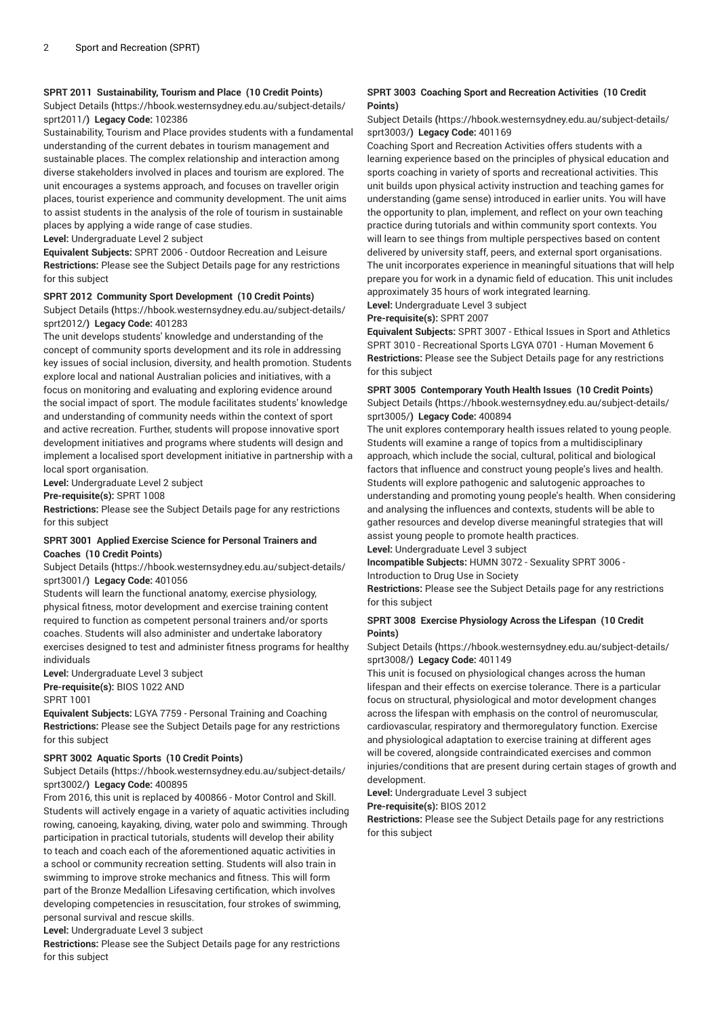# **SPRT 2011 Sustainability, Tourism and Place (10 Credit Points)**

[Subject Details](https://hbook.westernsydney.edu.au/subject-details/sprt2011/) **(**[https://hbook.westernsydney.edu.au/subject-details/](https://hbook.westernsydney.edu.au/subject-details/sprt2011/) [sprt2011/](https://hbook.westernsydney.edu.au/subject-details/sprt2011/)**) Legacy Code:** 102386

Sustainability, Tourism and Place provides students with a fundamental understanding of the current debates in tourism management and sustainable places. The complex relationship and interaction among diverse stakeholders involved in places and tourism are explored. The unit encourages a systems approach, and focuses on traveller origin places, tourist experience and community development. The unit aims to assist students in the analysis of the role of tourism in sustainable places by applying a wide range of case studies.

**Level:** Undergraduate Level 2 subject

**Equivalent Subjects:** SPRT 2006 - Outdoor Recreation and Leisure **Restrictions:** Please see the Subject Details page for any restrictions for this subject

# **SPRT 2012 Community Sport Development (10 Credit Points)**

[Subject Details](https://hbook.westernsydney.edu.au/subject-details/sprt2012/) **(**[https://hbook.westernsydney.edu.au/subject-details/](https://hbook.westernsydney.edu.au/subject-details/sprt2012/) [sprt2012/](https://hbook.westernsydney.edu.au/subject-details/sprt2012/)**) Legacy Code:** 401283

The unit develops students' knowledge and understanding of the concept of community sports development and its role in addressing key issues of social inclusion, diversity, and health promotion. Students explore local and national Australian policies and initiatives, with a focus on monitoring and evaluating and exploring evidence around the social impact of sport. The module facilitates students' knowledge and understanding of community needs within the context of sport and active recreation. Further, students will propose innovative sport development initiatives and programs where students will design and implement a localised sport development initiative in partnership with a local sport organisation.

**Level:** Undergraduate Level 2 subject

# **Pre-requisite(s):** SPRT 1008

**Restrictions:** Please see the Subject Details page for any restrictions for this subject

# **SPRT 3001 Applied Exercise Science for Personal Trainers and Coaches (10 Credit Points)**

[Subject Details](https://hbook.westernsydney.edu.au/subject-details/sprt3001/) **(**[https://hbook.westernsydney.edu.au/subject-details/](https://hbook.westernsydney.edu.au/subject-details/sprt3001/) [sprt3001/](https://hbook.westernsydney.edu.au/subject-details/sprt3001/)**) Legacy Code:** 401056

Students will learn the functional anatomy, exercise physiology, physical fitness, motor development and exercise training content required to function as competent personal trainers and/or sports coaches. Students will also administer and undertake laboratory exercises designed to test and administer fitness programs for healthy individuals

**Level:** Undergraduate Level 3 subject **Pre-requisite(s):** BIOS 1022 AND

SPRT 1001

**Equivalent Subjects:** LGYA 7759 - Personal Training and Coaching **Restrictions:** Please see the Subject Details page for any restrictions for this subject

# **SPRT 3002 Aquatic Sports (10 Credit Points)**

[Subject Details](https://hbook.westernsydney.edu.au/subject-details/sprt3002/) **(**[https://hbook.westernsydney.edu.au/subject-details/](https://hbook.westernsydney.edu.au/subject-details/sprt3002/) [sprt3002/](https://hbook.westernsydney.edu.au/subject-details/sprt3002/)**) Legacy Code:** 400895

From 2016, this unit is replaced by 400866 - Motor Control and Skill. Students will actively engage in a variety of aquatic activities including rowing, canoeing, kayaking, diving, water polo and swimming. Through participation in practical tutorials, students will develop their ability to teach and coach each of the aforementioned aquatic activities in a school or community recreation setting. Students will also train in swimming to improve stroke mechanics and fitness. This will form part of the Bronze Medallion Lifesaving certification, which involves developing competencies in resuscitation, four strokes of swimming, personal survival and rescue skills.

**Level:** Undergraduate Level 3 subject

**Restrictions:** Please see the Subject Details page for any restrictions for this subject

# **SPRT 3003 Coaching Sport and Recreation Activities (10 Credit Points)**

[Subject Details](https://hbook.westernsydney.edu.au/subject-details/sprt3003/) **(**[https://hbook.westernsydney.edu.au/subject-details/](https://hbook.westernsydney.edu.au/subject-details/sprt3003/) [sprt3003/](https://hbook.westernsydney.edu.au/subject-details/sprt3003/)**) Legacy Code:** 401169

Coaching Sport and Recreation Activities offers students with a learning experience based on the principles of physical education and sports coaching in variety of sports and recreational activities. This unit builds upon physical activity instruction and teaching games for understanding (game sense) introduced in earlier units. You will have the opportunity to plan, implement, and reflect on your own teaching practice during tutorials and within community sport contexts. You will learn to see things from multiple perspectives based on content delivered by university staff, peers, and external sport organisations. The unit incorporates experience in meaningful situations that will help prepare you for work in a dynamic field of education. This unit includes approximately 35 hours of work integrated learning.

**Level:** Undergraduate Level 3 subject

# **Pre-requisite(s):** SPRT 2007

**Equivalent Subjects:** SPRT 3007 - Ethical Issues in Sport and Athletics SPRT 3010 - Recreational Sports LGYA 0701 - Human Movement 6 **Restrictions:** Please see the Subject Details page for any restrictions for this subject

# **SPRT 3005 Contemporary Youth Health Issues (10 Credit Points)** [Subject Details](https://hbook.westernsydney.edu.au/subject-details/sprt3005/) **(**[https://hbook.westernsydney.edu.au/subject-details/](https://hbook.westernsydney.edu.au/subject-details/sprt3005/) [sprt3005/](https://hbook.westernsydney.edu.au/subject-details/sprt3005/)**) Legacy Code:** 400894

The unit explores contemporary health issues related to young people. Students will examine a range of topics from a multidisciplinary approach, which include the social, cultural, political and biological factors that influence and construct young people's lives and health. Students will explore pathogenic and salutogenic approaches to understanding and promoting young people's health. When considering and analysing the influences and contexts, students will be able to gather resources and develop diverse meaningful strategies that will assist young people to promote health practices.

**Level:** Undergraduate Level 3 subject

**Incompatible Subjects:** HUMN 3072 - Sexuality SPRT 3006 - Introduction to Drug Use in Society

**Restrictions:** Please see the Subject Details page for any restrictions for this subject

# **SPRT 3008 Exercise Physiology Across the Lifespan (10 Credit Points)**

[Subject Details](https://hbook.westernsydney.edu.au/subject-details/sprt3008/) **(**[https://hbook.westernsydney.edu.au/subject-details/](https://hbook.westernsydney.edu.au/subject-details/sprt3008/) [sprt3008/](https://hbook.westernsydney.edu.au/subject-details/sprt3008/)**) Legacy Code:** 401149

This unit is focused on physiological changes across the human lifespan and their effects on exercise tolerance. There is a particular focus on structural, physiological and motor development changes across the lifespan with emphasis on the control of neuromuscular, cardiovascular, respiratory and thermoregulatory function. Exercise and physiological adaptation to exercise training at different ages will be covered, alongside contraindicated exercises and common injuries/conditions that are present during certain stages of growth and development.

**Level:** Undergraduate Level 3 subject

**Pre-requisite(s):** BIOS 2012

**Restrictions:** Please see the Subject Details page for any restrictions for this subject